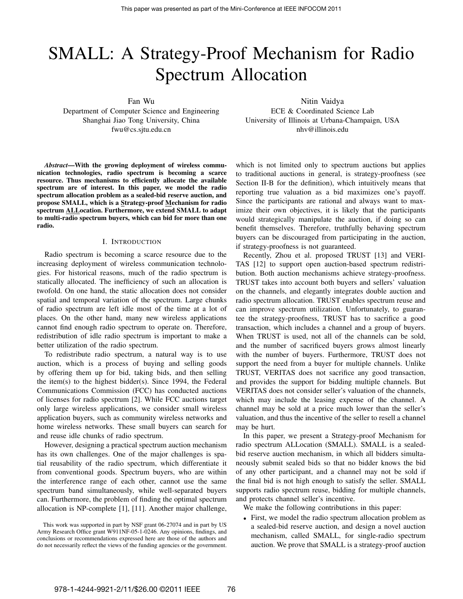# SMALL: A Strategy-Proof Mechanism for Radio Spectrum Allocation

Fan Wu

Department of Computer Science and Engineering Shanghai Jiao Tong University, China fwu@cs.sjtu.edu.cn

Nitin Vaidya ECE & Coordinated Science Lab University of Illinois at Urbana-Champaign, USA

nhv@illinois.edu

*Abstract*—With the growing deployment of wireless communication technologies, radio spectrum is becoming a scarce resource. Thus mechanisms to efficiently allocate the available spectrum are of interest. In this paper, we model the radio spectrum allocation problem as a sealed-bid reserve auction, and propose SMALL, which is a Strategy-proof Mechanism for radio spectrum ALLocation. Furthermore, we extend SMALL to adapt to multi-radio spectrum buyers, which can bid for more than one radio.

## I. INTRODUCTION

Radio spectrum is becoming a scarce resource due to the increasing deployment of wireless communication technologies. For historical reasons, much of the radio spectrum is statically allocated. The inefficiency of such an allocation is twofold. On one hand, the static allocation does not consider spatial and temporal variation of the spectrum. Large chunks of radio spectrum are left idle most of the time at a lot of places. On the other hand, many new wireless applications cannot find enough radio spectrum to operate on. Therefore, redistribution of idle radio spectrum is important to make a better utilization of the radio spectrum.

To redistribute radio spectrum, a natural way is to use auction, which is a process of buying and selling goods by offering them up for bid, taking bids, and then selling the item(s) to the highest bidder(s). Since 1994, the Federal Communications Commission (FCC) has conducted auctions of licenses for radio spectrum [2]. While FCC auctions target only large wireless applications, we consider small wireless application buyers, such as community wireless networks and home wireless networks. These small buyers can search for and reuse idle chunks of radio spectrum.

However, designing a practical spectrum auction mechanism has its own challenges. One of the major challenges is spatial reusability of the radio spectrum, which differentiate it from conventional goods. Spectrum buyers, who are within the interference range of each other, cannot use the same spectrum band simultaneously, while well-separated buyers can. Furthermore, the problem of finding the optimal spectrum allocation is NP-complete [1], [11]. Another major challenge,

which is not limited only to spectrum auctions but applies to traditional auctions in general, is strategy-proofness (see Section II-B for the definition), which intuitively means that reporting true valuation as a bid maximizes one's payoff. Since the participants are rational and always want to maximize their own objectives, it is likely that the participants would strategically manipulate the auction, if doing so can benefit themselves. Therefore, truthfully behaving spectrum buyers can be discouraged from participating in the auction, if strategy-proofness is not guaranteed.

Recently, Zhou et al. proposed TRUST [13] and VERI-TAS [12] to support open auction-based spectrum redistribution. Both auction mechanisms achieve strategy-proofness. TRUST takes into account both buyers and sellers' valuation on the channels, and elegantly integrates double auction and radio spectrum allocation. TRUST enables spectrum reuse and can improve spectrum utilization. Unfortunately, to guarantee the strategy-proofness, TRUST has to sacrifice a good transaction, which includes a channel and a group of buyers. When TRUST is used, not all of the channels can be sold, and the number of sacrificed buyers grows almost linearly with the number of buyers. Furthermore, TRUST does not support the need from a buyer for multiple channels. Unlike TRUST, VERITAS does not sacrifice any good transaction, and provides the support for bidding multiple channels. But VERITAS does not consider seller's valuation of the channels, which may include the leasing expense of the channel. A channel may be sold at a price much lower than the seller's valuation, and thus the incentive of the seller to resell a channel may be hurt.

In this paper, we present a Strategy-proof Mechanism for radio spectrum ALLocation (SMALL). SMALL is a sealedbid reserve auction mechanism, in which all bidders simultaneously submit sealed bids so that no bidder knows the bid of any other participant, and a channel may not be sold if the final bid is not high enough to satisfy the seller. SMALL supports radio spectrum reuse, bidding for multiple channels, and protects channel seller's incentive.

We make the following contributions in this paper:

*•* First, we model the radio spectrum allocation problem as a sealed-bid reserve auction, and design a novel auction mechanism, called SMALL, for single-radio spectrum auction. We prove that SMALL is a strategy-proof auction

This work was supported in part by NSF grant 06-27074 and in part by US Army Research Office grant W911NF-05-1-0246. Any opinions, findings, and conclusions or recommendations expressed here are those of the authors and do not necessarily reflect the views of the funding agencies or the government.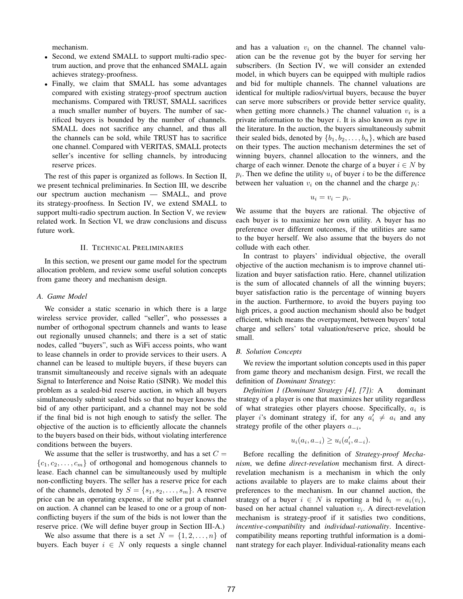mechanism.

- *•* Second, we extend SMALL to support multi-radio spectrum auction, and prove that the enhanced SMALL again achieves strategy-proofness.
- *•* Finally, we claim that SMALL has some advantages compared with existing strategy-proof spectrum auction mechanisms. Compared with TRUST, SMALL sacrifices a much smaller number of buyers. The number of sacrificed buyers is bounded by the number of channels. SMALL does not sacrifice any channel, and thus all the channels can be sold, while TRUST has to sacrifice one channel. Compared with VERITAS, SMALL protects seller's incentive for selling channels, by introducing reserve prices.

The rest of this paper is organized as follows. In Section II, we present technical preliminaries. In Section III, we describe our spectrum auction mechanism — SMALL, and prove its strategy-proofness. In Section IV, we extend SMALL to support multi-radio spectrum auction. In Section V, we review related work. In Section VI, we draw conclusions and discuss future work.

#### II. TECHNICAL PRELIMINARIES

In this section, we present our game model for the spectrum allocation problem, and review some useful solution concepts from game theory and mechanism design.

#### *A. Game Model*

We consider a static scenario in which there is a large wireless service provider, called "seller", who possesses a number of orthogonal spectrum channels and wants to lease out regionally unused channels; and there is a set of static nodes, called "buyers", such as WiFi access points, who want to lease channels in order to provide services to their users. A channel can be leased to multiple buyers, if these buyers can transmit simultaneously and receive signals with an adequate Signal to Interference and Noise Ratio (SINR). We model this problem as a sealed-bid reserve auction, in which all buyers simultaneously submit sealed bids so that no buyer knows the bid of any other participant, and a channel may not be sold if the final bid is not high enough to satisfy the seller. The objective of the auction is to efficiently allocate the channels to the buyers based on their bids, without violating interference conditions between the buyers.

We assume that the seller is trustworthy, and has a set  $C =$  ${c_1, c_2, \ldots, c_m}$  of orthogonal and homogenous channels to lease. Each channel can be simultaneously used by multiple non-conflicting buyers. The seller has a reserve price for each of the channels, denoted by  $S = \{s_1, s_2, \ldots, s_m\}$ . A reserve price can be an operating expense, if the seller put a channel on auction. A channel can be leased to one or a group of nonconflicting buyers if the sum of the bids is not lower than the reserve price. (We will define buyer group in Section III-A.)

We also assume that there is a set  $N = \{1, 2, \ldots, n\}$  of buyers. Each buyer  $i \in N$  only requests a single channel

and has a valuation  $v_i$  on the channel. The channel valuation can be the revenue got by the buyer for serving her subscribers. (In Section IV, we will consider an extended model, in which buyers can be equipped with multiple radios and bid for multiple channels. The channel valuations are identical for multiple radios/virtual buyers, because the buyer can serve more subscribers or provide better service quality, when getting more channels.) The channel valuation  $v_i$  is a private information to the buyer *i*. It is also known as *type* in the literature. In the auction, the buyers simultaneously submit their sealed bids, denoted by  $\{b_1, b_2, \ldots, b_n\}$ , which are based on their types. The auction mechanism determines the set of winning buyers, channel allocation to the winners, and the charge of each winner. Denote the charge of a buyer  $i \in N$  by  $p_i$ . Then we define the utility  $u_i$  of buyer *i* to be the difference between her valuation  $v_i$  on the channel and the charge  $p_i$ :

$$
u_i = v_i - p_i
$$

*.*

We assume that the buyers are rational. The objective of each buyer is to maximize her own utility. A buyer has no preference over different outcomes, if the utilities are same to the buyer herself. We also assume that the buyers do not collude with each other.

In contrast to players' individual objective, the overall objective of the auction mechanism is to improve channel utilization and buyer satisfaction ratio. Here, channel utilization is the sum of allocated channels of all the winning buyers; buyer satisfaction ratio is the percentage of winning buyers in the auction. Furthermore, to avoid the buyers paying too high prices, a good auction mechanism should also be budget efficient, which means the overpayment, between buyers' total charge and sellers' total valuation/reserve price, should be small.

## *B. Solution Concepts*

We review the important solution concepts used in this paper from game theory and mechanism design. First, we recall the definition of *Dominant Strategy*:

*Definition 1 (Dominant Strategy [4], [7]):* A dominant strategy of a player is one that maximizes her utility regardless of what strategies other players choose. Specifically, *a<sup>i</sup>* is player *i*'s dominant strategy if, for any  $a'_i \neq a_i$  and any strategy profile of the other players *a−<sup>i</sup>* ,

$$
u_i(a_i, a_{-i}) \ge u_i(a'_i, a_{-i}).
$$

Before recalling the definition of *Strategy-proof Mechanism*, we define *direct-revelation* mechanism first. A directrevelation mechanism is a mechanism in which the only actions available to players are to make claims about their preferences to the mechanism. In our channel auction, the strategy of a buyer  $i \in N$  is reporting a bid  $b_i = a_i(v_i)$ , based on her actual channel valuation *v<sup>i</sup>* . A direct-revelation mechanism is strategy-proof if it satisfies two conditions, *incentive-compatibility* and *individual-rationality*. Incentivecompatibility means reporting truthful information is a dominant strategy for each player. Individual-rationality means each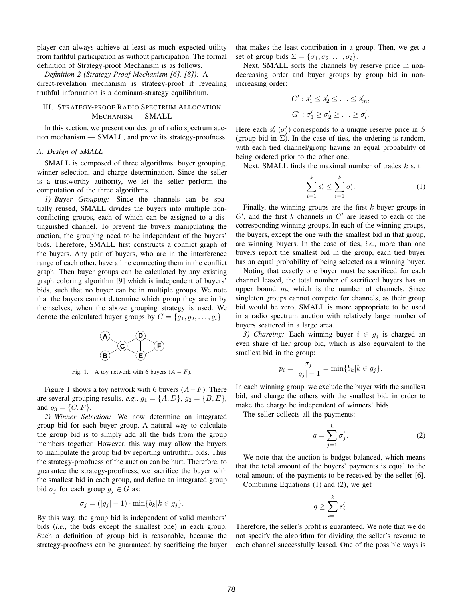player can always achieve at least as much expected utility from faithful participation as without participation. The formal definition of Strategy-proof Mechanism is as follows.

*Definition 2 (Strategy-Proof Mechanism [6], [8]):* A direct-revelation mechanism is strategy-proof if revealing truthful information is a dominant-strategy equilibrium.

## III. STRATEGY-PROOF RADIO SPECTRUM ALLOCATION MECHANISM — SMALL

In this section, we present our design of radio spectrum auction mechanism — SMALL, and prove its strategy-proofness.

## *A. Design of SMALL*

SMALL is composed of three algorithms: buyer grouping, winner selection, and charge determination. Since the seller is a trustworthy authority, we let the seller perform the computation of the three algorithms.

*1) Buyer Grouping:* Since the channels can be spatially reused, SMALL divides the buyers into multiple nonconflicting groups, each of which can be assigned to a distinguished channel. To prevent the buyers manipulating the auction, the grouping need to be independent of the buyers' bids. Therefore, SMALL first constructs a conflict graph of the buyers. Any pair of buyers, who are in the interference range of each other, have a line connecting them in the conflict graph. Then buyer groups can be calculated by any existing graph coloring algorithm [9] which is independent of buyers' bids, such that no buyer can be in multiple groups. We note that the buyers cannot determine which group they are in by themselves, when the above grouping strategy is used. We denote the calculated buyer groups by  $G = \{g_1, g_2, \ldots, g_l\}.$ 



Fig. 1. A toy network with 6 buyers  $(A - F)$ .

Figure 1 shows a toy network with 6 buyers (*A−F*). There are several grouping results, *e.g.*,  $g_1 = \{A, D\}$ ,  $g_2 = \{B, E\}$ , and  $g_3 = \{C, F\}.$ 

*2) Winner Selection:* We now determine an integrated group bid for each buyer group. A natural way to calculate the group bid is to simply add all the bids from the group members together. However, this way may allow the buyers to manipulate the group bid by reporting untruthful bids. Thus the strategy-proofness of the auction can be hurt. Therefore, to guarantee the strategy-proofness, we sacrifice the buyer with the smallest bid in each group, and define an integrated group bid  $\sigma_j$  for each group  $g_j \in G$  as:

$$
\sigma_j = (|g_j| - 1) \cdot \min\{b_k | k \in g_j\}.
$$

By this way, the group bid is independent of valid members' bids (*i.e.*, the bids except the smallest one) in each group. Such a definition of group bid is reasonable, because the strategy-proofness can be guaranteed by sacrificing the buyer that makes the least contribution in a group. Then, we get a set of group bids  $\Sigma = {\sigma_1, \sigma_2, \ldots, \sigma_l}.$ 

Next, SMALL sorts the channels by reserve price in nondecreasing order and buyer groups by group bid in nonincreasing order:

$$
C': s'_1 \leq s'_2 \leq \ldots \leq s'_m,
$$
  

$$
G': \sigma'_1 \geq \sigma'_2 \geq \ldots \geq \sigma'_l.
$$

Here each  $s_i'$  ( $\sigma_j'$ ) corresponds to a unique reserve price in *S* (group bid in  $\Sigma$ ). In the case of ties, the ordering is random, with each tied channel/group having an equal probability of being ordered prior to the other one.

Next, SMALL finds the maximal number of trades *k* s. t.

$$
\sum_{i=1}^{k} s'_i \le \sum_{i=1}^{k} \sigma'_i.
$$
 (1)

Finally, the winning groups are the first *k* buyer groups in  $G'$ , and the first *k* channels in  $C'$  are leased to each of the corresponding winning groups. In each of the winning groups, the buyers, except the one with the smallest bid in that group, are winning buyers. In the case of ties, *i.e.*, more than one buyers report the smallest bid in the group, each tied buyer has an equal probability of being selected as a winning buyer.

Noting that exactly one buyer must be sacrificed for each channel leased, the total number of sacrificed buyers has an upper bound *m*, which is the number of channels. Since singleton groups cannot compete for channels, as their group bid would be zero, SMALL is more appropriate to be used in a radio spectrum auction with relatively large number of buyers scattered in a large area.

*3) Charging:* Each winning buyer  $i \in g_j$  is charged an even share of her group bid, which is also equivalent to the smallest bid in the group:

$$
p_i = \frac{\sigma_j}{|g_j| - 1} = \min\{b_k | k \in g_j\}.
$$

In each winning group, we exclude the buyer with the smallest bid, and charge the others with the smallest bid, in order to make the charge be independent of winners' bids.

The seller collects all the payments:

$$
q = \sum_{j=1}^{k} \sigma'_j.
$$
 (2)

We note that the auction is budget-balanced, which means that the total amount of the buyers' payments is equal to the total amount of the payments to be received by the seller [6].

Combining Equations (1) and (2), we get

$$
q \ge \sum_{i=1}^k s'_i.
$$

Therefore, the seller's profit is guaranteed. We note that we do not specify the algorithm for dividing the seller's revenue to each channel successfully leased. One of the possible ways is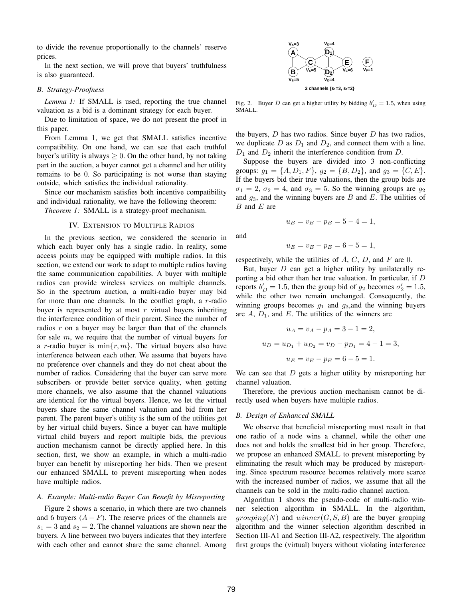to divide the revenue proportionally to the channels' reserve prices.

In the next section, we will prove that buyers' truthfulness is also guaranteed.

#### *B. Strategy-Proofness*

*Lemma 1:* If SMALL is used, reporting the true channel valuation as a bid is a dominant strategy for each buyer.

Due to limitation of space, we do not present the proof in this paper.

From Lemma 1, we get that SMALL satisfies incentive compatibility. On one hand, we can see that each truthful buyer's utility is always  $\geq 0$ . On the other hand, by not taking part in the auction, a buyer cannot get a channel and her utility remains to be 0. So participating is not worse than staying outside, which satisfies the individual rationality.

Since our mechanism satisfies both incentive compatibility and individual rationality, we have the following theorem:

*Theorem 1:* SMALL is a strategy-proof mechanism.

## IV. EXTENSION TO MULTIPLE RADIOS

In the previous section, we considered the scenario in which each buyer only has a single radio. In reality, some access points may be equipped with multiple radios. In this section, we extend our work to adapt to multiple radios having the same communication capabilities. A buyer with multiple radios can provide wireless services on multiple channels. So in the spectrum auction, a multi-radio buyer may bid for more than one channels. In the conflict graph, a *r*-radio buyer is represented by at most *r* virtual buyers inheriting the interference condition of their parent. Since the number of radios *r* on a buyer may be larger than that of the channels for sale *m*, we require that the number of virtual buyers for a *r*-radio buyer is  $\min\{r, m\}$ . The virtual buyers also have interference between each other. We assume that buyers have no preference over channels and they do not cheat about the number of radios. Considering that the buyer can serve more subscribers or provide better service quality, when getting more channels, we also assume that the channel valuations are identical for the virtual buyers. Hence, we let the virtual buyers share the same channel valuation and bid from her parent. The parent buyer's utility is the sum of the utilities got by her virtual child buyers. Since a buyer can have multiple virtual child buyers and report multiple bids, the previous auction mechanism cannot be directly applied here. In this section, first, we show an example, in which a multi-radio buyer can benefit by misreporting her bids. Then we present our enhanced SMALL to prevent misreporting when nodes have multiple radios.

#### *A. Example: Multi-radio Buyer Can Benefit by Misreporting*

Figure 2 shows a scenario, in which there are two channels and 6 buyers  $(A - F)$ . The reserve prices of the channels are  $s_1 = 3$  and  $s_2 = 2$ . The channel valuations are shown near the buyers. A line between two buyers indicates that they interfere with each other and cannot share the same channel. Among



Fig. 2. Buyer *D* can get a higher utility by bidding  $b'_D = 1.5$ , when using SMALL.

the buyers, *D* has two radios. Since buyer *D* has two radios, we duplicate  $D$  as  $D_1$  and  $D_2$ , and connect them with a line. *D*<sup>1</sup> and *D*<sup>2</sup> inherit the interference condition from *D*.

Suppose the buyers are divided into 3 non-conflicting groups:  $g_1 = \{A, D_1, F\}$ ,  $g_2 = \{B, D_2\}$ , and  $g_3 = \{C, E\}$ . If the buyers bid their true valuations, then the group bids are  $\sigma_1 = 2$ ,  $\sigma_2 = 4$ , and  $\sigma_3 = 5$ . So the winning groups are  $g_2$ and *g*3, and the winning buyers are *B* and *E*. The utilities of *B* and *E* are

$$
u_B = v_B - p_B = 5 - 4 = 1,
$$

and

$$
u_E = v_E - p_E = 6 - 5 = 1,
$$

respectively, while the utilities of *A*, *C*, *D*, and *F* are 0.

But, buyer *D* can get a higher utility by unilaterally reporting a bid other than her true valuation. In particular, if *D* reports  $b_D' = 1.5$ , then the group bid of  $g_2$  becomes  $\sigma_2' = 1.5$ , while the other two remain unchanged. Consequently, the winning groups becomes *g*<sup>1</sup> and *g*3,and the winning buyers are  $A$ ,  $D_1$ , and  $E$ . The utilities of the winners are

$$
u_A = v_A - p_A = 3 - 1 = 2,
$$
  
\n
$$
u_D = u_{D_1} + u_{D_2} = v_D - p_{D_1} = 4 - 1 = 3,
$$
  
\n
$$
u_E = v_E - p_E = 6 - 5 = 1.
$$

We can see that *D* gets a higher utility by misreporting her channel valuation.

Therefore, the previous auction mechanism cannot be directly used when buyers have multiple radios.

## *B. Design of Enhanced SMALL*

We observe that beneficial misreporting must result in that one radio of a node wins a channel, while the other one does not and holds the smallest bid in her group. Therefore, we propose an enhanced SMALL to prevent misreporting by eliminating the result which may be produced by misreporting. Since spectrum resource becomes relatively more scarce with the increased number of radios, we assume that all the channels can be sold in the multi-radio channel auction.

Algorithm 1 shows the pseudo-code of multi-radio winner selection algorithm in SMALL. In the algorithm,  $grouping(N)$  and  $winner(G, S, B)$  are the buyer grouping algorithm and the winner selection algorithm described in Section III-A1 and Section III-A2, respectively. The algorithm first groups the (virtual) buyers without violating interference